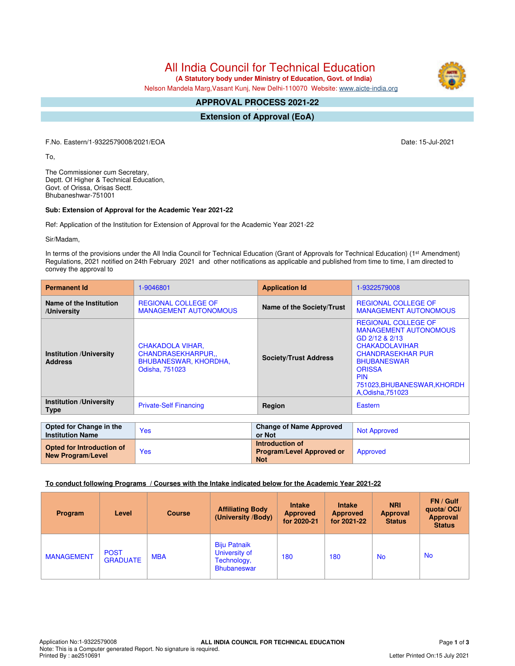# All India Council for Technical Education

 **(A Statutory body under Ministry of Education, Govt. of India)**

Nelson Mandela Marg,Vasant Kunj, New Delhi-110070 Website: [www.aicte-india.org](http://www.aicte-india.org)

#### **APPROVAL PROCESS 2021-22 -**

**Extension of Approval (EoA)**

F.No. Eastern/1-9322579008/2021/EOA Date: 15-Jul-2021

To,

The Commissioner cum Secretary, Deptt. Of Higher & Technical Education, Govt. of Orissa, Orisas Sectt. Bhubaneshwar-751001

#### **Sub: Extension of Approval for the Academic Year 2021-22**

Ref: Application of the Institution for Extension of Approval for the Academic Year 2021-22

Sir/Madam,

In terms of the provisions under the All India Council for Technical Education (Grant of Approvals for Technical Education) (1<sup>st</sup> Amendment) Regulations, 2021 notified on 24th February 2021 and other notifications as applicable and published from time to time, I am directed to convey the approval to

| <b>Permanent Id</b>                              | 1-9046801                                                                              | <b>Application Id</b>          | 1-9322579008                                                                                                                                                                                                                             |  |  |
|--------------------------------------------------|----------------------------------------------------------------------------------------|--------------------------------|------------------------------------------------------------------------------------------------------------------------------------------------------------------------------------------------------------------------------------------|--|--|
| Name of the Institution<br>/University           | <b>REGIONAL COLLEGE OF</b><br><b>MANAGEMENT AUTONOMOUS</b>                             | Name of the Society/Trust      | <b>REGIONAL COLLEGE OF</b><br><b>MANAGEMENT AUTONOMOUS</b>                                                                                                                                                                               |  |  |
| <b>Institution /University</b><br><b>Address</b> | CHAKADOLA VIHAR.<br>CHANDRASEKHARPUR<br><b>BHUBANESWAR, KHORDHA,</b><br>Odisha, 751023 | <b>Society/Trust Address</b>   | <b>REGIONAL COLLEGE OF</b><br><b>MANAGEMENT AUTONOMOUS</b><br>GD 2/12 & 2/13<br><b>CHAKADOLAVIHAR</b><br><b>CHANDRASEKHAR PUR</b><br><b>BHUBANESWAR</b><br><b>ORISSA</b><br><b>PIN</b><br>751023, BHUBANESWAR, KHORDH<br>A.Odisha.751023 |  |  |
| <b>Institution /University</b><br><b>Type</b>    | <b>Private-Self Financing</b>                                                          | Region                         | Eastern                                                                                                                                                                                                                                  |  |  |
|                                                  |                                                                                        |                                |                                                                                                                                                                                                                                          |  |  |
| Opted for Change in the                          | $\mathbf{v}$                                                                           | <b>Change of Name Approved</b> | $\mathbf{A}$ and $\mathbf{A}$ and $\mathbf{A}$ and $\mathbf{A}$ and $\mathbf{A}$                                                                                                                                                         |  |  |

| Opted for Change in the<br><b>Institution Name</b>    | <b>Yes</b> | <b>Change of Name Approved</b><br>or Not                          | <b>Not Approved</b> |
|-------------------------------------------------------|------------|-------------------------------------------------------------------|---------------------|
| Opted for Introduction of<br><b>New Program/Level</b> | Yes        | Introduction of<br><b>Program/Level Approved or</b><br><b>Not</b> | Approved            |

### **To conduct following Programs / Courses with the Intake indicated below for the Academic Year 2021-22**

| <b>Program</b>    | Level                          | <b>Course</b> | <b>Affiliating Body</b><br>(University /Body)                             | <b>Intake</b><br><b>Approved</b><br>for 2020-21 | <b>Intake</b><br><b>Approved</b><br>for 2021-22 | <b>NRI</b><br><b>Approval</b><br><b>Status</b> | FN / Gulf<br>quota/OCI/<br>Approval<br><b>Status</b> |
|-------------------|--------------------------------|---------------|---------------------------------------------------------------------------|-------------------------------------------------|-------------------------------------------------|------------------------------------------------|------------------------------------------------------|
| <b>MANAGEMENT</b> | <b>POST</b><br><b>GRADUATE</b> | <b>MBA</b>    | <b>Biju Patnaik</b><br>University of<br>Technology,<br><b>Bhubaneswar</b> | 180                                             | 180                                             | <b>No</b>                                      | <b>No</b>                                            |

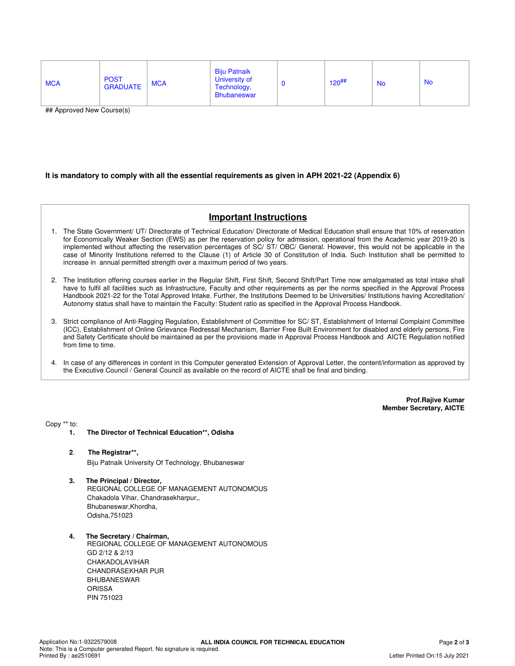| <b>MCA</b> | <b>POST</b><br><b>GRADUATE</b> | <b>MCA</b> | <b>Biju Patnaik</b><br>University of<br>Technology,<br><b>Bhubaneswar</b> | U | $120^{##}$ | <b>No</b> | <b>No</b> |
|------------|--------------------------------|------------|---------------------------------------------------------------------------|---|------------|-----------|-----------|
|------------|--------------------------------|------------|---------------------------------------------------------------------------|---|------------|-----------|-----------|

## Approved New Course(s)

#### **It is mandatory to comply with all the essential requirements as given in APH 2021-22 (Appendix 6)**

## **Important Instructions**

- 1. The State Government/ UT/ Directorate of Technical Education/ Directorate of Medical Education shall ensure that 10% of reservation for Economically Weaker Section (EWS) as per the reservation policy for admission, operational from the Academic year 2019-20 is implemented without affecting the reservation percentages of SC/ ST/ OBC/ General. However, this would not be applicable in the case of Minority Institutions referred to the Clause (1) of Article 30 of Constitution of India. Such Institution shall be permitted to increase in annual permitted strength over a maximum period of two years.
- 2. The Institution offering courses earlier in the Regular Shift, First Shift, Second Shift/Part Time now amalgamated as total intake shall have to fulfil all facilities such as Infrastructure, Faculty and other requirements as per the norms specified in the Approval Process Handbook 2021-22 for the Total Approved Intake. Further, the Institutions Deemed to be Universities/ Institutions having Accreditation/ Autonomy status shall have to maintain the Faculty: Student ratio as specified in the Approval Process Handbook.
- 3. Strict compliance of Anti-Ragging Regulation, Establishment of Committee for SC/ ST, Establishment of Internal Complaint Committee (ICC), Establishment of Online Grievance Redressal Mechanism, Barrier Free Built Environment for disabled and elderly persons, Fire and Safety Certificate should be maintained as per the provisions made in Approval Process Handbook and AICTE Regulation notified from time to time.
- 4. In case of any differences in content in this Computer generated Extension of Approval Letter, the content/information as approved by the Executive Council / General Council as available on the record of AICTE shall be final and binding.

**Prof.Rajive Kumar Member Secretary, AICTE**

Copy \*\* to:

- **1. The Director of Technical Education\*\*, Odisha**
- **2**. **The Registrar\*\*,**

Biju Patnaik University Of Technology, Bhubaneswar

- **3. The Principal / Director,** REGIONAL COLLEGE OF MANAGEMENT AUTONOMOUS Chakadola Vihar, Chandrasekharpur,, Bhubaneswar,Khordha, Odisha,751023
- **4. The Secretary / Chairman,** REGIONAL COLLEGE OF MANAGEMENT AUTONOMOUS GD 2/12 & 2/13 CHAKADOLAVIHAR CHANDRASEKHAR PUR BHUBANESWAR ORISSA PIN 751023